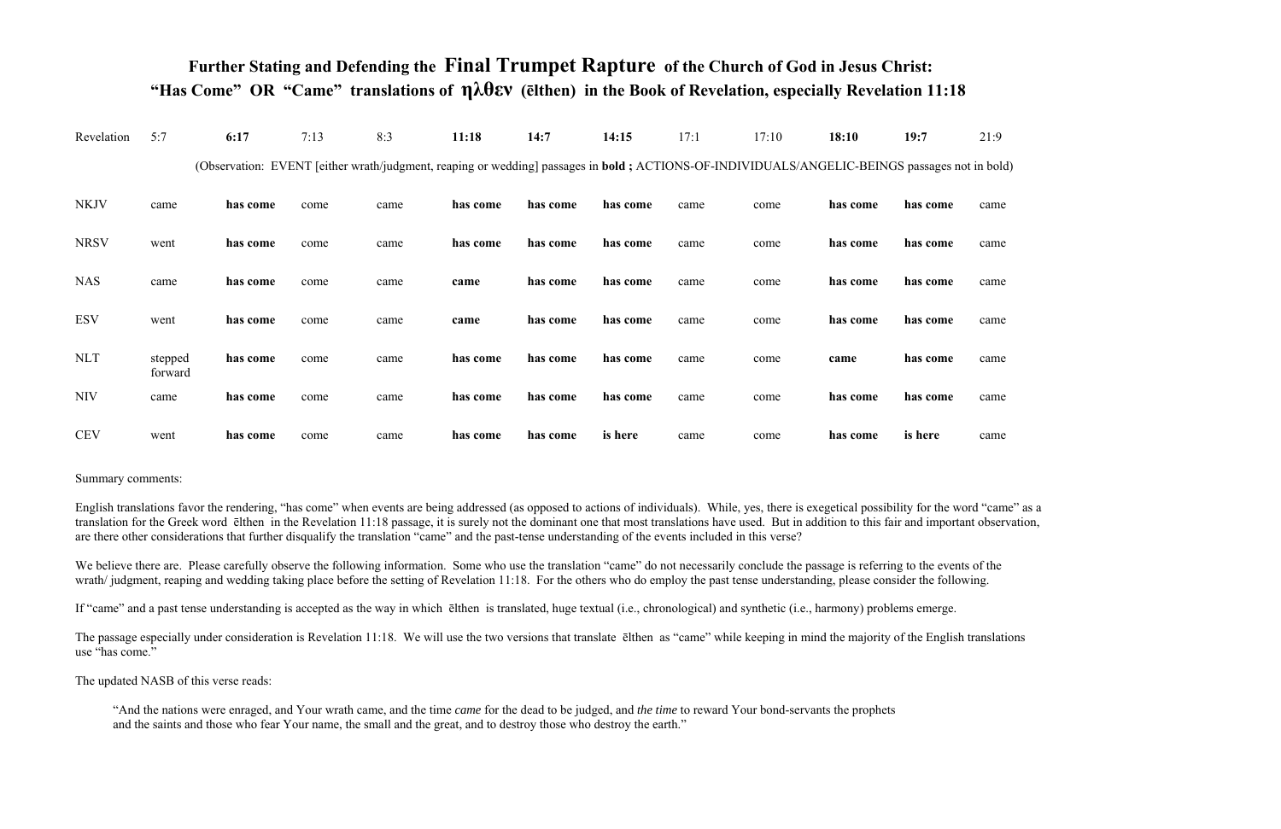## **Further Stating and Defending the Final Trumpet Rapture of the Church of God in Jesus Christ: "Has Come" OR "Came" translations of ηλθεν (ēlthen) in the Book of Revelation, especially Revelation 11:18**

| Revelation  | 5:7                | 6:17     | 7:13 | 8:3                                                                                                                                                   | 11:18    | 14:7     | 14:15    | 17:1 | 17:10 | 18:10    | 19:7     | 21:9 |
|-------------|--------------------|----------|------|-------------------------------------------------------------------------------------------------------------------------------------------------------|----------|----------|----------|------|-------|----------|----------|------|
|             |                    |          |      | (Observation: EVENT [either wrath/judgment, reaping or wedding] passages in <b>bold</b> ; ACTIONS-OF-INDIVIDUALS/ANGELIC-BEINGS passages not in bold) |          |          |          |      |       |          |          |      |
| <b>NKJV</b> | came               | has come | come | came                                                                                                                                                  | has come | has come | has come | came | come  | has come | has come | came |
| <b>NRSV</b> | went               | has come | come | came                                                                                                                                                  | has come | has come | has come | came | come  | has come | has come | came |
| <b>NAS</b>  | came               | has come | come | came                                                                                                                                                  | came     | has come | has come | came | come  | has come | has come | came |
| <b>ESV</b>  | went               | has come | come | came                                                                                                                                                  | came     | has come | has come | came | come  | has come | has come | came |
| <b>NLT</b>  | stepped<br>forward | has come | come | came                                                                                                                                                  | has come | has come | has come | came | come  | came     | has come | came |
| <b>NIV</b>  | came               | has come | come | came                                                                                                                                                  | has come | has come | has come | came | come  | has come | has come | came |
| <b>CEV</b>  | went               | has come | come | came                                                                                                                                                  | has come | has come | is here  | came | come  | has come | is here  | came |

## Summary comments:

English translations favor the rendering, "has come" when events are being addressed (as opposed to actions of individuals). While, yes, there is exegetical possibility for the word "came" as a translation for the Greek word ēlthen in the Revelation 11:18 passage, it is surely not the dominant one that most translations have used. But in addition to this fair and important observation, are there other considerations that further disqualify the translation "came" and the past-tense understanding of the events included in this verse?

We believe there are. Please carefully observe the following information. Some who use the translation "came" do not necessarily conclude the passage is referring to the events of the wrath/judgment, reaping and wedding taking place before the setting of Revelation 11:18. For the others who do employ the past tense understanding, please consider the following.

If "came" and a past tense understanding is accepted as the way in which ēlthen is translated, huge textual (i.e., chronological) and synthetic (i.e., harmony) problems emerge.

The passage especially under consideration is Revelation 11:18. We will use the two versions that translate ēlthen as "came" while keeping in mind the majority of the English translations use "has come."

The updated NASB of this verse reads:

 "And the nations were enraged, and Your wrath came, and the time *came* for the dead to be judged, and *the time* to reward Your bond-servants the prophets and the saints and those who fear Your name, the small and the great, and to destroy those who destroy the earth."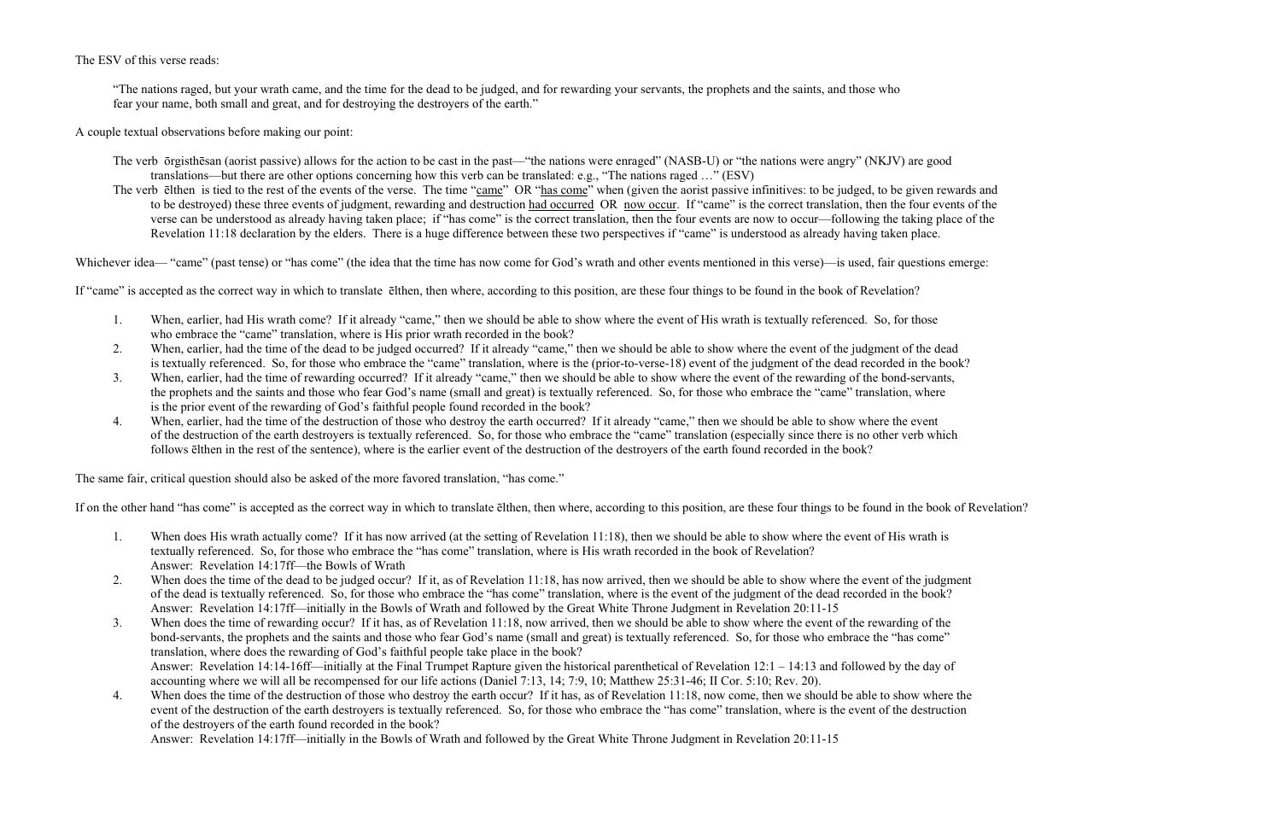The ESV of this verse reads:

 "The nations raged, but your wrath came, and the time for the dead to be judged, and for rewarding your servants, the prophets and the saints, and those who fear your name, both small and great, and for destroying the destroyers of the earth."

A couple textual observations before making our point:

- The verb ōrgisthēsan (aorist passive) allows for the action to be cast in the past—"the nations were enraged" (NASB-U) or "the nations were angry" (NKJV) are good translations—but there are other options concerning how this verb can be translated: e.g., "The nations raged …" (ESV)
- The verb elthen is tied to the rest of the events of the verse. The time "came" OR "has come" when (given the aorist passive infinitives: to be judged, to be given rewards and to be destroyed) these three events of judgment, rewarding and destruction had occurred OR now occur. If "came" is the correct translation, then the four events of the verse can be understood as already having taken place; if "has come" is the correct translation, then the four events are now to occur—following the taking place of the Revelation 11:18 declaration by the elders. There is a huge difference between these two perspectives if "came" is understood as already having taken place.

Whichever idea— "came" (past tense) or "has come" (the idea that the time has now come for God's wrath and other events mentioned in this verse)—is used, fair questions emerge:

If "came" is accepted as the correct way in which to translate ēlthen, then where, according to this position, are these four things to be found in the book of Revelation?

- 1.When, earlier, had His wrath come? If it already "came," then we should be able to show where the event of His wrath is textually referenced. So, for those who embrace the "came" translation, where is His prior wrath recorded in the book?
- 2.When, earlier, had the time of the dead to be judged occurred? If it already "came," then we should be able to show where the event of the judgment of the dead is textually referenced. So, for those who embrace the "came" translation, where is the (prior-to-verse-18) event of the judgment of the dead recorded in the book?
- 3.When, earlier, had the time of rewarding occurred? If it already "came," then we should be able to show where the event of the rewarding of the bond-servants, the prophets and the saints and those who fear God's name (small and great) is textually referenced. So, for those who embrace the "came" translation, where is the prior event of the rewarding of God's faithful people found recorded in the book?
- 4.When, earlier, had the time of the destruction of those who destroy the earth occurred? If it already "came," then we should be able to show where the event of the destruction of the earth destroyers is textually referenced. So, for those who embrace the "came" translation (especially since there is no other verb which follows ēlthen in the rest of the sentence), where is the earlier event of the destruction of the destroyers of the earth found recorded in the book?

The same fair, critical question should also be asked of the more favored translation, "has come."

If on the other hand "has come" is accepted as the correct way in which to translate ēlthen, then where, according to this position, are these four things to be found in the book of Revelation?

- 1. When does His wrath actually come? If it has now arrived (at the setting of Revelation 11:18), then we should be able to show where the event of His wrath is textually referenced. So, for those who embrace the "has come" translation, where is His wrath recorded in the book of Revelation? Answer: Revelation 14:17ff—the Bowls of Wrath
- 2. When does the time of the dead to be judged occur? If it, as of Revelation 11:18, has now arrived, then we should be able to show where the event of the judgment of the dead is textually referenced. So, for those who embrace the "has come" translation, where is the event of the judgment of the dead recorded in the book? Answer: Revelation 14:17ff—initially in the Bowls of Wrath and followed by the Great White Throne Judgment in Revelation 20:11-15
- 3. When does the time of rewarding occur? If it has, as of Revelation 11:18, now arrived, then we should be able to show where the event of the rewarding of the bond-servants, the prophets and the saints and those who fear God's name (small and great) is textually referenced. So, for those who embrace the "has come" translation, where does the rewarding of God's faithful people take place in the book? Answer: Revelation 14:14-16ff—initially at the Final Trumpet Rapture given the historical parenthetical of Revelation 12:1 – 14:13 and followed by the day of accounting where we will all be recompensed for our life actions (Daniel 7:13, 14; 7:9, 10; Matthew 25:31-46; II Cor. 5:10; Rev. 20).
- 4. When does the time of the destruction of those who destroy the earth occur? If it has, as of Revelation 11:18, now come, then we should be able to show where the event of the destruction of the earth destroyers is textually referenced. So, for those who embrace the "has come" translation, where is the event of the destruction of the destroyers of the earth found recorded in the book?

Answer: Revelation 14:17ff—initially in the Bowls of Wrath and followed by the Great White Throne Judgment in Revelation 20:11-15